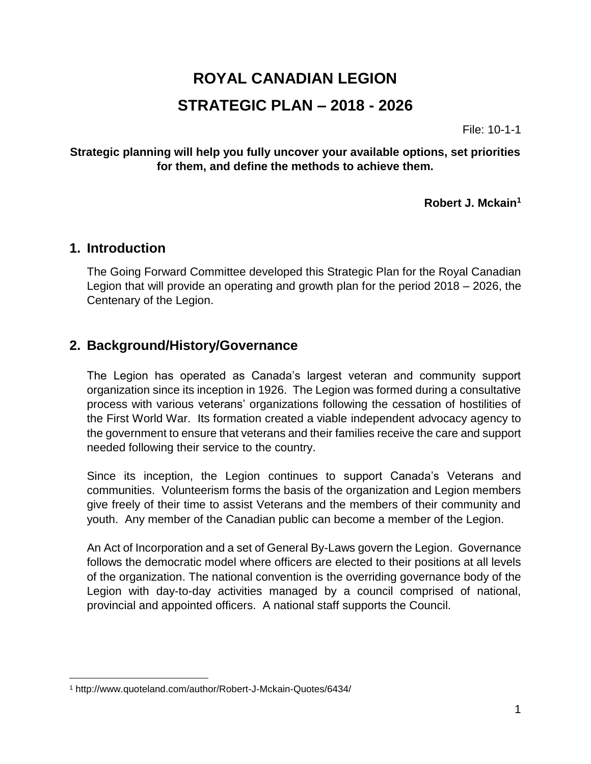# **ROYAL CANADIAN LEGION STRATEGIC PLAN – 2018 - 2026**

File: 10-1-1

### **Strategic planning will help you fully uncover your available options, set priorities for them, and define the methods to achieve them.**

**Robert J. Mckain<sup>1</sup>**

## **1. Introduction**

 $\overline{a}$ 

The Going Forward Committee developed this Strategic Plan for the Royal Canadian Legion that will provide an operating and growth plan for the period 2018 – 2026, the Centenary of the Legion.

## **2. Background/History/Governance**

The Legion has operated as Canada's largest veteran and community support organization since its inception in 1926. The Legion was formed during a consultative process with various veterans' organizations following the cessation of hostilities of the First World War. Its formation created a viable independent advocacy agency to the government to ensure that veterans and their families receive the care and support needed following their service to the country.

Since its inception, the Legion continues to support Canada's Veterans and communities. Volunteerism forms the basis of the organization and Legion members give freely of their time to assist Veterans and the members of their community and youth. Any member of the Canadian public can become a member of the Legion.

An Act of Incorporation and a set of General By-Laws govern the Legion. Governance follows the democratic model where officers are elected to their positions at all levels of the organization. The national convention is the overriding governance body of the Legion with day-to-day activities managed by a council comprised of national, provincial and appointed officers. A national staff supports the Council.

<sup>1</sup> http://www.quoteland.com/author/Robert-J-Mckain-Quotes/6434/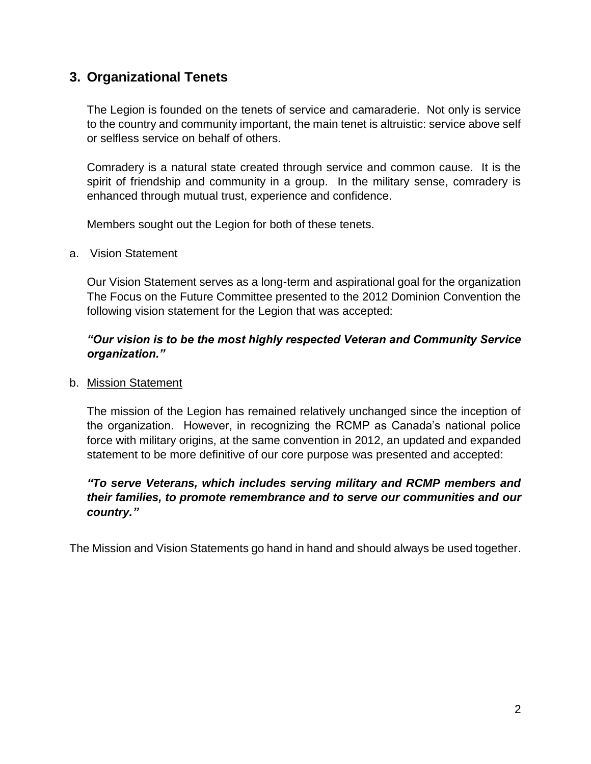## **3. Organizational Tenets**

The Legion is founded on the tenets of service and camaraderie. Not only is service to the country and community important, the main tenet is altruistic: service above self or selfless service on behalf of others.

Comradery is a natural state created through service and common cause. It is the spirit of friendship and community in a group. In the military sense, comradery is enhanced through mutual trust, experience and confidence.

Members sought out the Legion for both of these tenets.

#### a. Vision Statement

Our Vision Statement serves as a long-term and aspirational goal for the organization The Focus on the Future Committee presented to the 2012 Dominion Convention the following vision statement for the Legion that was accepted:

### *"Our vision is to be the most highly respected Veteran and Community Service organization."*

#### b. Mission Statement

The mission of the Legion has remained relatively unchanged since the inception of the organization. However, in recognizing the RCMP as Canada's national police force with military origins, at the same convention in 2012, an updated and expanded statement to be more definitive of our core purpose was presented and accepted:

### *"To serve Veterans, which includes serving military and RCMP members and their families, to promote remembrance and to serve our communities and our country."*

The Mission and Vision Statements go hand in hand and should always be used together.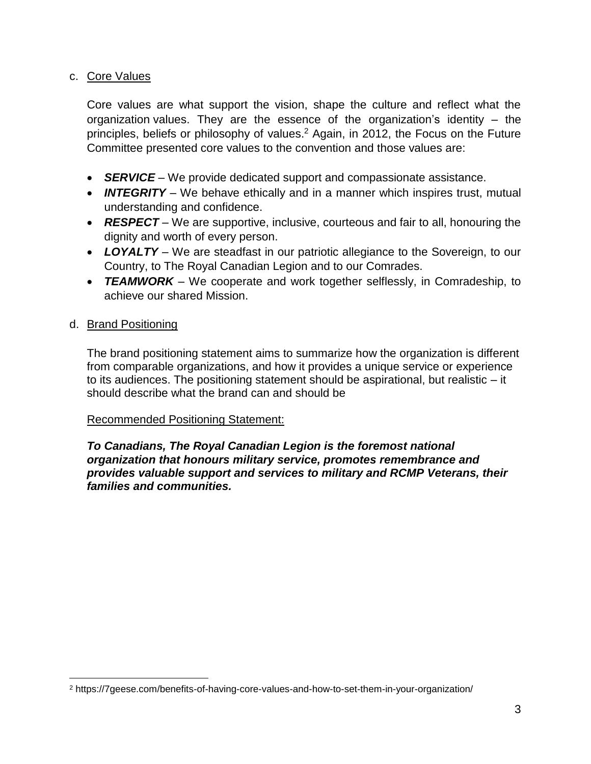#### c. Core Values

Core values are what support the vision, shape the culture and reflect what the organization values. They are the essence of the organization's identity – the principles, beliefs or philosophy of values.<sup>2</sup> Again, in 2012, the Focus on the Future Committee presented core values to the convention and those values are:

- *SERVICE* We provide dedicated support and compassionate assistance.
- *INTEGRITY* We behave ethically and in a manner which inspires trust, mutual understanding and confidence.
- *RESPECT* We are supportive, inclusive, courteous and fair to all, honouring the dignity and worth of every person.
- *LOYALTY* We are steadfast in our patriotic allegiance to the Sovereign, to our Country, to The Royal Canadian Legion and to our Comrades.
- **TEAMWORK** We cooperate and work together selflessly, in Comradeship, to achieve our shared Mission.

### d. Brand Positioning

 $\overline{a}$ 

The brand positioning statement aims to summarize how the organization is different from comparable organizations, and how it provides a unique service or experience to its audiences. The positioning statement should be aspirational, but realistic – it should describe what the brand can and should be

#### Recommended Positioning Statement:

*To Canadians, The Royal Canadian Legion is the foremost national organization that honours military service, promotes remembrance and provides valuable support and services to military and RCMP Veterans, their families and communities.*

<sup>2</sup> https://7geese.com/benefits-of-having-core-values-and-how-to-set-them-in-your-organization/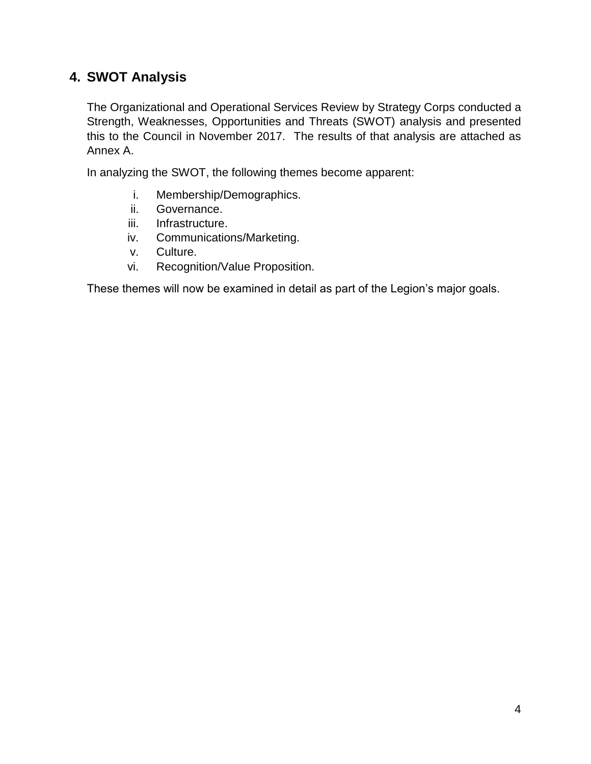# **4. SWOT Analysis**

The Organizational and Operational Services Review by Strategy Corps conducted a Strength, Weaknesses, Opportunities and Threats (SWOT) analysis and presented this to the Council in November 2017. The results of that analysis are attached as Annex A.

In analyzing the SWOT, the following themes become apparent:

- i. Membership/Demographics.
- ii. Governance.
- iii. Infrastructure.
- iv. Communications/Marketing.
- v. Culture.
- vi. Recognition/Value Proposition.

These themes will now be examined in detail as part of the Legion's major goals.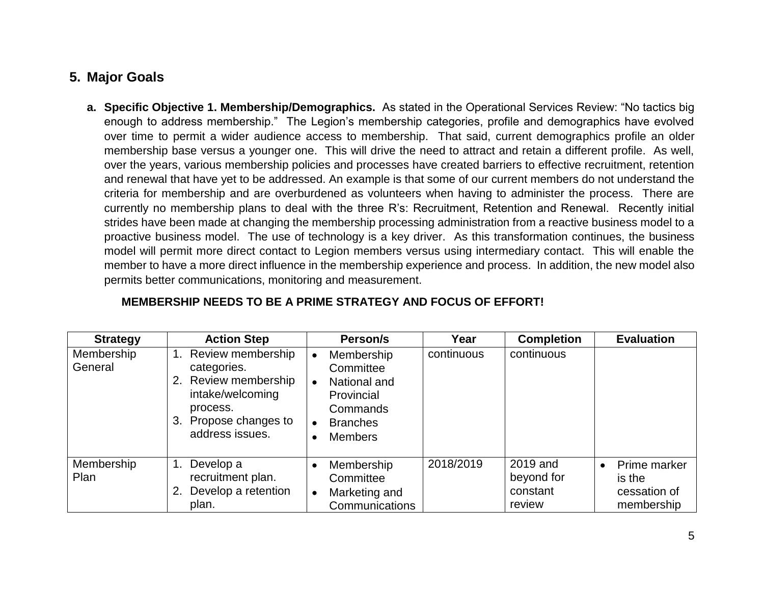# **5. Major Goals**

**a. Specific Objective 1. Membership/Demographics.** As stated in the Operational Services Review: "No tactics big enough to address membership." The Legion's membership categories, profile and demographics have evolved over time to permit a wider audience access to membership. That said, current demographics profile an older membership base versus a younger one. This will drive the need to attract and retain a different profile. As well, over the years, various membership policies and processes have created barriers to effective recruitment, retention and renewal that have yet to be addressed. An example is that some of our current members do not understand the criteria for membership and are overburdened as volunteers when having to administer the process. There are currently no membership plans to deal with the three R's: Recruitment, Retention and Renewal. Recently initial strides have been made at changing the membership processing administration from a reactive business model to a proactive business model. The use of technology is a key driver. As this transformation continues, the business model will permit more direct contact to Legion members versus using intermediary contact. This will enable the member to have a more direct influence in the membership experience and process. In addition, the new model also permits better communications, monitoring and measurement.

| <b>Strategy</b>       | <b>Action Step</b>                                                                                                                         | Person/s                                                                                                                         | Year       | <b>Completion</b>                            | <b>Evaluation</b>                                                 |
|-----------------------|--------------------------------------------------------------------------------------------------------------------------------------------|----------------------------------------------------------------------------------------------------------------------------------|------------|----------------------------------------------|-------------------------------------------------------------------|
| Membership<br>General | Review membership<br>categories.<br>Review membership<br>2.<br>intake/welcoming<br>process.<br>Propose changes to<br>3.<br>address issues. | Membership<br>Committee<br>National and<br>$\bullet$<br>Provincial<br>Commands<br><b>Branches</b><br>$\bullet$<br><b>Members</b> | continuous | continuous                                   |                                                                   |
| Membership<br>Plan    | Develop a<br>$\overline{1}$ .<br>recruitment plan.<br>Develop a retention<br>2.<br>plan.                                                   | Membership<br>$\bullet$<br>Committee<br>Marketing and<br>$\bullet$<br>Communications                                             | 2018/2019  | 2019 and<br>beyond for<br>constant<br>review | Prime marker<br>$\bullet$<br>is the<br>cessation of<br>membership |

## **MEMBERSHIP NEEDS TO BE A PRIME STRATEGY AND FOCUS OF EFFORT!**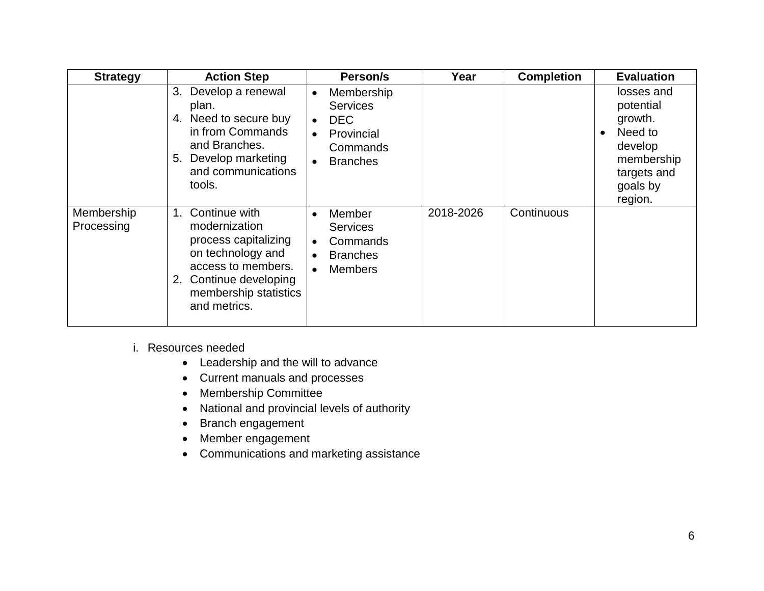| <b>Strategy</b>          | <b>Action Step</b>                                                                                                                                                            | Person/s                                                                                                                        | Year      | <b>Completion</b> | <b>Evaluation</b>                                                                                                         |
|--------------------------|-------------------------------------------------------------------------------------------------------------------------------------------------------------------------------|---------------------------------------------------------------------------------------------------------------------------------|-----------|-------------------|---------------------------------------------------------------------------------------------------------------------------|
|                          | Develop a renewal<br>3.<br>plan.<br>Need to secure buy<br>4.<br>in from Commands<br>and Branches.<br>Develop marketing<br>5.<br>and communications<br>tools.                  | Membership<br>$\bullet$<br><b>Services</b><br><b>DEC</b><br>$\bullet$<br>Provincial<br>Commands<br><b>Branches</b><br>$\bullet$ |           |                   | losses and<br>potential<br>growth.<br>Need to<br>$\bullet$<br>develop<br>membership<br>targets and<br>goals by<br>region. |
| Membership<br>Processing | Continue with<br>1.<br>modernization<br>process capitalizing<br>on technology and<br>access to members.<br>Continue developing<br>2.<br>membership statistics<br>and metrics. | Member<br>$\bullet$<br><b>Services</b><br>Commands<br>$\bullet$<br><b>Branches</b><br><b>Members</b>                            | 2018-2026 | Continuous        |                                                                                                                           |

i. Resources needed

- Leadership and the will to advance
- Current manuals and processes
- Membership Committee
- National and provincial levels of authority
- Branch engagement
- Member engagement
- Communications and marketing assistance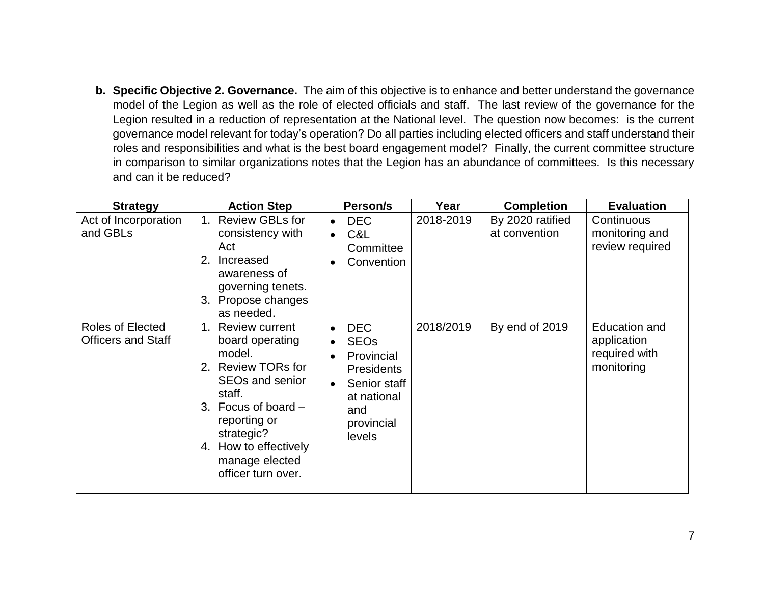**b. Specific Objective 2. Governance.** The aim of this objective is to enhance and better understand the governance model of the Legion as well as the role of elected officials and staff. The last review of the governance for the Legion resulted in a reduction of representation at the National level. The question now becomes: is the current governance model relevant for today's operation? Do all parties including elected officers and staff understand their roles and responsibilities and what is the best board engagement model? Finally, the current committee structure in comparison to similar organizations notes that the Legion has an abundance of committees. Is this necessary and can it be reduced?

| <b>Strategy</b>                               | <b>Action Step</b>                                                                                                                                                                                                                           | Person/s                                                                                                                                             | Year      | <b>Completion</b>                 | <b>Evaluation</b>                                           |
|-----------------------------------------------|----------------------------------------------------------------------------------------------------------------------------------------------------------------------------------------------------------------------------------------------|------------------------------------------------------------------------------------------------------------------------------------------------------|-----------|-----------------------------------|-------------------------------------------------------------|
| Act of Incorporation<br>and GBLs              | <b>Review GBLs for</b><br>1.<br>consistency with<br>Act<br>Increased<br>2.<br>awareness of<br>governing tenets.<br>3. Propose changes<br>as needed.                                                                                          | <b>DEC</b><br>$\bullet$<br>C&L<br>$\bullet$<br>Committee<br>Convention                                                                               | 2018-2019 | By 2020 ratified<br>at convention | Continuous<br>monitoring and<br>review required             |
| Roles of Elected<br><b>Officers and Staff</b> | <b>Review current</b><br>$1_{\cdot}$<br>board operating<br>model.<br>2. Review TORs for<br>SEOs and senior<br>staff.<br>3. Focus of board $-$<br>reporting or<br>strategic?<br>4. How to effectively<br>manage elected<br>officer turn over. | <b>DEC</b><br>$\bullet$<br><b>SEOs</b><br>$\bullet$<br>Provincial<br><b>Presidents</b><br>Senior staff<br>at national<br>and<br>provincial<br>levels | 2018/2019 | By end of 2019                    | Education and<br>application<br>required with<br>monitoring |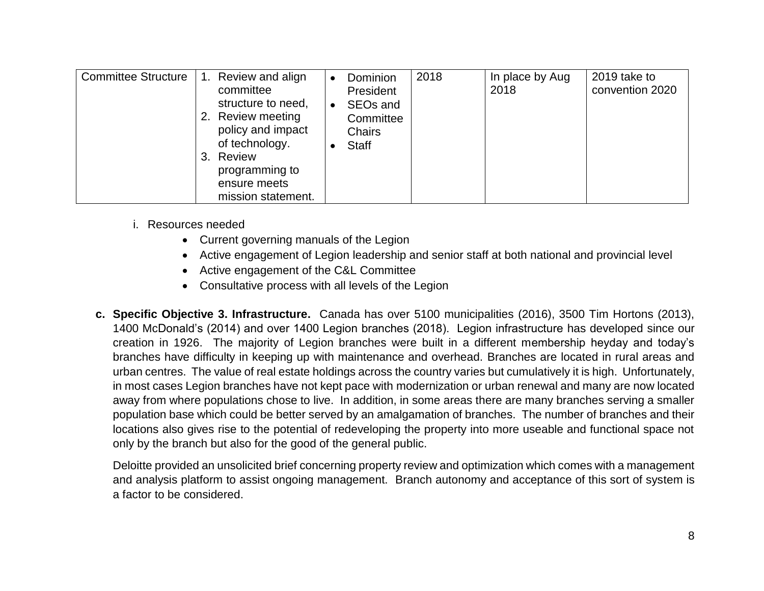| <b>Committee Structure</b> | 1. Review and align<br>committee<br>structure to need,<br>2. Review meeting<br>policy and impact<br>of technology.<br>3. Review<br>programming to<br>ensure meets<br>mission statement. | Dominion<br>٠<br>President<br>SEO <sub>s</sub> and<br>$\bullet$<br>Committee<br><b>Chairs</b><br><b>Staff</b> | 2018 | In place by Aug<br>2018 | 2019 take to<br>convention 2020 |
|----------------------------|-----------------------------------------------------------------------------------------------------------------------------------------------------------------------------------------|---------------------------------------------------------------------------------------------------------------|------|-------------------------|---------------------------------|
|----------------------------|-----------------------------------------------------------------------------------------------------------------------------------------------------------------------------------------|---------------------------------------------------------------------------------------------------------------|------|-------------------------|---------------------------------|

- i. Resources needed
	- Current governing manuals of the Legion
	- Active engagement of Legion leadership and senior staff at both national and provincial level
	- Active engagement of the C&L Committee
	- Consultative process with all levels of the Legion
- **c. Specific Objective 3. Infrastructure.** Canada has over 5100 municipalities (2016), 3500 Tim Hortons (2013), 1400 McDonald's (2014) and over 1400 Legion branches (2018). Legion infrastructure has developed since our creation in 1926. The majority of Legion branches were built in a different membership heyday and today's branches have difficulty in keeping up with maintenance and overhead. Branches are located in rural areas and urban centres. The value of real estate holdings across the country varies but cumulatively it is high. Unfortunately, in most cases Legion branches have not kept pace with modernization or urban renewal and many are now located away from where populations chose to live. In addition, in some areas there are many branches serving a smaller population base which could be better served by an amalgamation of branches. The number of branches and their locations also gives rise to the potential of redeveloping the property into more useable and functional space not only by the branch but also for the good of the general public.

Deloitte provided an unsolicited brief concerning property review and optimization which comes with a management and analysis platform to assist ongoing management. Branch autonomy and acceptance of this sort of system is a factor to be considered.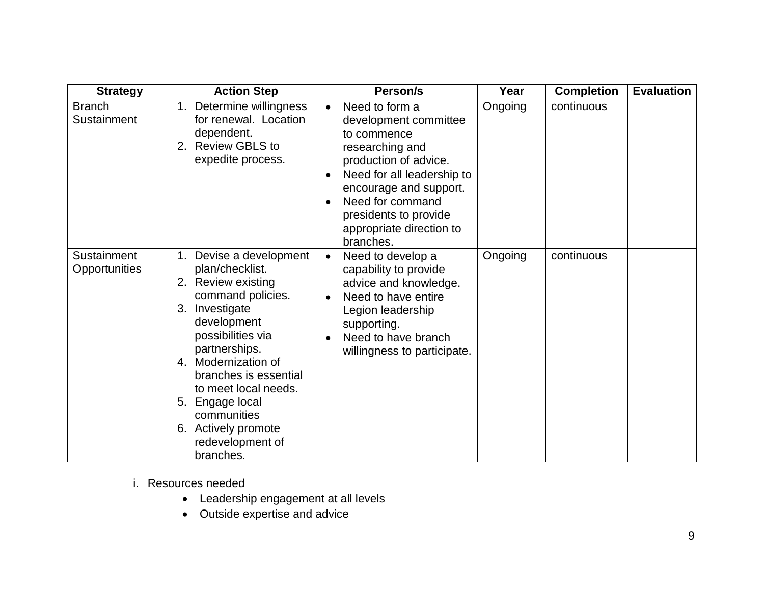| <b>Strategy</b>              | <b>Action Step</b>                                                                                                                                                                                                                                                                                                                          | Person/s                                                                                                                                                                                                                                                      | Year    | <b>Completion</b> | <b>Evaluation</b> |
|------------------------------|---------------------------------------------------------------------------------------------------------------------------------------------------------------------------------------------------------------------------------------------------------------------------------------------------------------------------------------------|---------------------------------------------------------------------------------------------------------------------------------------------------------------------------------------------------------------------------------------------------------------|---------|-------------------|-------------------|
| <b>Branch</b><br>Sustainment | 1. Determine willingness<br>for renewal. Location<br>dependent.<br><b>Review GBLS to</b><br>2.<br>expedite process.                                                                                                                                                                                                                         | Need to form a<br>$\bullet$<br>development committee<br>to commence<br>researching and<br>production of advice.<br>Need for all leadership to<br>encourage and support.<br>Need for command<br>presidents to provide<br>appropriate direction to<br>branches. | Ongoing | continuous        |                   |
| Sustainment<br>Opportunities | 1. Devise a development<br>plan/checklist.<br>2. Review existing<br>command policies.<br>3. Investigate<br>development<br>possibilities via<br>partnerships.<br>4. Modernization of<br>branches is essential<br>to meet local needs.<br>Engage local<br>5.<br>communities<br><b>Actively promote</b><br>6.<br>redevelopment of<br>branches. | Need to develop a<br>$\bullet$<br>capability to provide<br>advice and knowledge.<br>Need to have entire<br>$\bullet$<br>Legion leadership<br>supporting.<br>Need to have branch<br>willingness to participate.                                                | Ongoing | continuous        |                   |

- i. Resources needed
	- Leadership engagement at all levels
	- Outside expertise and advice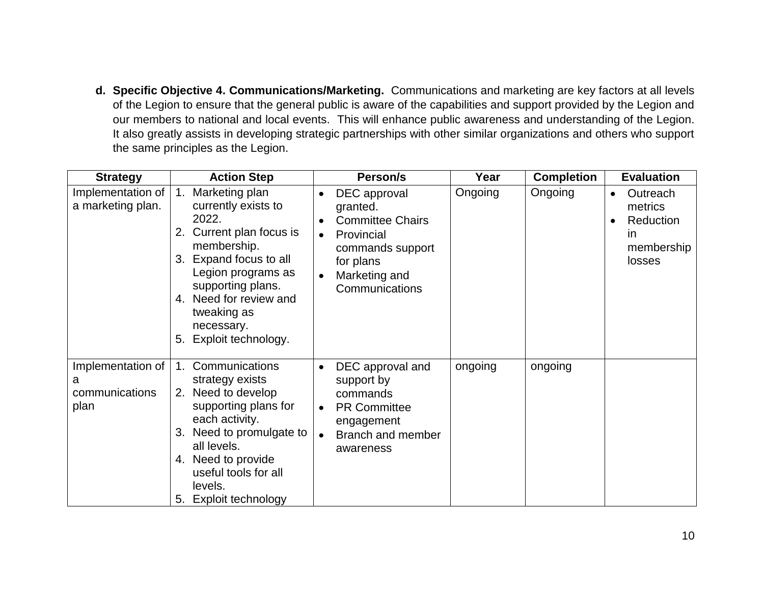**d. Specific Objective 4. Communications/Marketing.** Communications and marketing are key factors at all levels of the Legion to ensure that the general public is aware of the capabilities and support provided by the Legion and our members to national and local events. This will enhance public awareness and understanding of the Legion. It also greatly assists in developing strategic partnerships with other similar organizations and others who support the same principles as the Legion.

| <b>Strategy</b>                                  | <b>Action Step</b>                                                                                                                                                                                                                                    | Person/s                                                                                                                                                                     | Year    | <b>Completion</b> | <b>Evaluation</b>                                                            |
|--------------------------------------------------|-------------------------------------------------------------------------------------------------------------------------------------------------------------------------------------------------------------------------------------------------------|------------------------------------------------------------------------------------------------------------------------------------------------------------------------------|---------|-------------------|------------------------------------------------------------------------------|
| Implementation of<br>a marketing plan.           | Marketing plan<br>1.<br>currently exists to<br>2022.<br>2. Current plan focus is<br>membership.<br>3. Expand focus to all<br>Legion programs as<br>supporting plans.<br>4. Need for review and<br>tweaking as<br>necessary.<br>5. Exploit technology. | DEC approval<br>$\bullet$<br>granted.<br><b>Committee Chairs</b><br>Provincial<br>$\bullet$<br>commands support<br>for plans<br>Marketing and<br>$\bullet$<br>Communications | Ongoing | Ongoing           | Outreach<br>$\bullet$<br>metrics<br>Reduction<br>in.<br>membership<br>losses |
| Implementation of<br>a<br>communications<br>plan | Communications<br>1.<br>strategy exists<br>2. Need to develop<br>supporting plans for<br>each activity.<br>3. Need to promulgate to<br>all levels.<br>4. Need to provide<br>useful tools for all<br>levels.<br>5. Exploit technology                  | DEC approval and<br>support by<br>commands<br><b>PR Committee</b><br>$\bullet$<br>engagement<br>Branch and member<br>$\bullet$<br>awareness                                  | ongoing | ongoing           |                                                                              |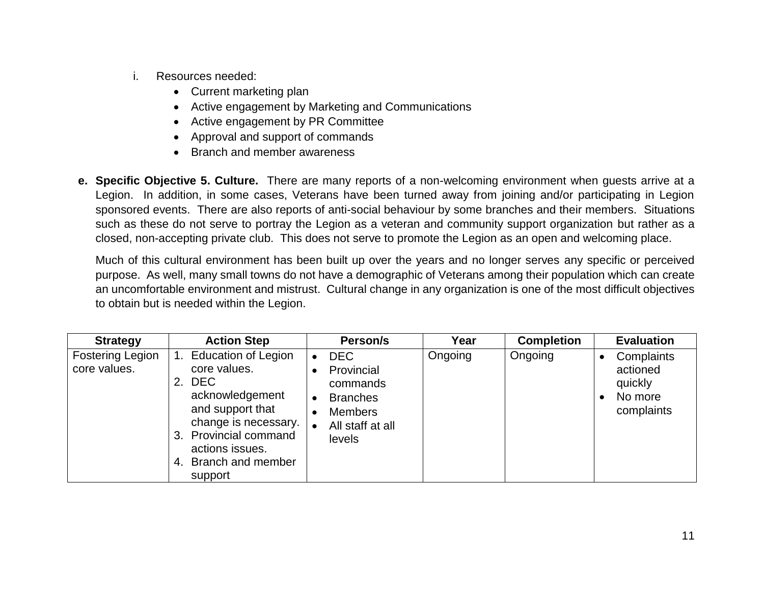- i. Resources needed:
	- Current marketing plan
	- Active engagement by Marketing and Communications
	- Active engagement by PR Committee
	- Approval and support of commands
	- Branch and member awareness
- **e. Specific Objective 5. Culture.** There are many reports of a non-welcoming environment when guests arrive at a Legion. In addition, in some cases, Veterans have been turned away from joining and/or participating in Legion sponsored events. There are also reports of anti-social behaviour by some branches and their members. Situations such as these do not serve to portray the Legion as a veteran and community support organization but rather as a closed, non-accepting private club. This does not serve to promote the Legion as an open and welcoming place.

Much of this cultural environment has been built up over the years and no longer serves any specific or perceived purpose. As well, many small towns do not have a demographic of Veterans among their population which can create an uncomfortable environment and mistrust. Cultural change in any organization is one of the most difficult objectives to obtain but is needed within the Legion.

| <b>Strategy</b>                         | <b>Action Step</b>                                                                                                                                                                                                     | Person/s                                                                                                                                                                 | Year    | <b>Completion</b> | <b>Evaluation</b>                                                       |
|-----------------------------------------|------------------------------------------------------------------------------------------------------------------------------------------------------------------------------------------------------------------------|--------------------------------------------------------------------------------------------------------------------------------------------------------------------------|---------|-------------------|-------------------------------------------------------------------------|
| <b>Fostering Legion</b><br>core values. | <b>Education of Legion</b><br>core values.<br><b>DEC</b><br>2.<br>acknowledgement<br>and support that<br>change is necessary.<br>3. Provincial command<br>actions issues.<br><b>Branch and member</b><br>4.<br>support | <b>DEC</b><br>$\bullet$<br>Provincial<br>$\bullet$<br>commands<br><b>Branches</b><br>$\bullet$<br><b>Members</b><br>$\bullet$<br>All staff at all<br>$\bullet$<br>levels | Ongoing | Ongoing           | Complaints<br>actioned<br>quickly<br>No more<br>$\bullet$<br>complaints |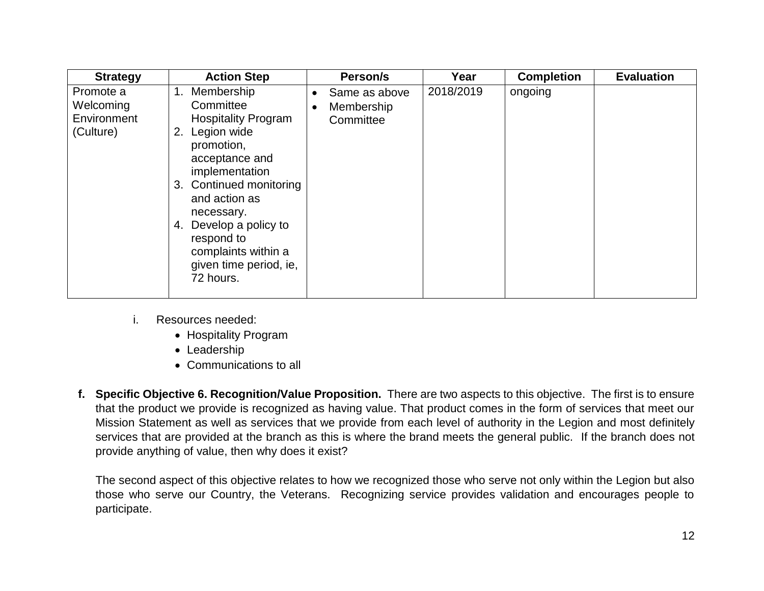| <b>Strategy</b>                                    | <b>Action Step</b>                                                                                                                                                                                                                                                                                    |                        | Person/s                                 | Year      | <b>Completion</b> | <b>Evaluation</b> |
|----------------------------------------------------|-------------------------------------------------------------------------------------------------------------------------------------------------------------------------------------------------------------------------------------------------------------------------------------------------------|------------------------|------------------------------------------|-----------|-------------------|-------------------|
| Promote a<br>Welcoming<br>Environment<br>(Culture) | Membership<br>1.<br>Committee<br><b>Hospitality Program</b><br>Legion wide<br>2.<br>promotion,<br>acceptance and<br>implementation<br>3. Continued monitoring<br>and action as<br>necessary.<br>Develop a policy to<br>4.<br>respond to<br>complaints within a<br>given time period, ie,<br>72 hours. | $\bullet$<br>$\bullet$ | Same as above<br>Membership<br>Committee | 2018/2019 | ongoing           |                   |

- i. Resources needed:
	- Hospitality Program
	- Leadership
	- Communications to all
- **f. Specific Objective 6. Recognition/Value Proposition.** There are two aspects to this objective. The first is to ensure that the product we provide is recognized as having value. That product comes in the form of services that meet our Mission Statement as well as services that we provide from each level of authority in the Legion and most definitely services that are provided at the branch as this is where the brand meets the general public. If the branch does not provide anything of value, then why does it exist?

The second aspect of this objective relates to how we recognized those who serve not only within the Legion but also those who serve our Country, the Veterans. Recognizing service provides validation and encourages people to participate.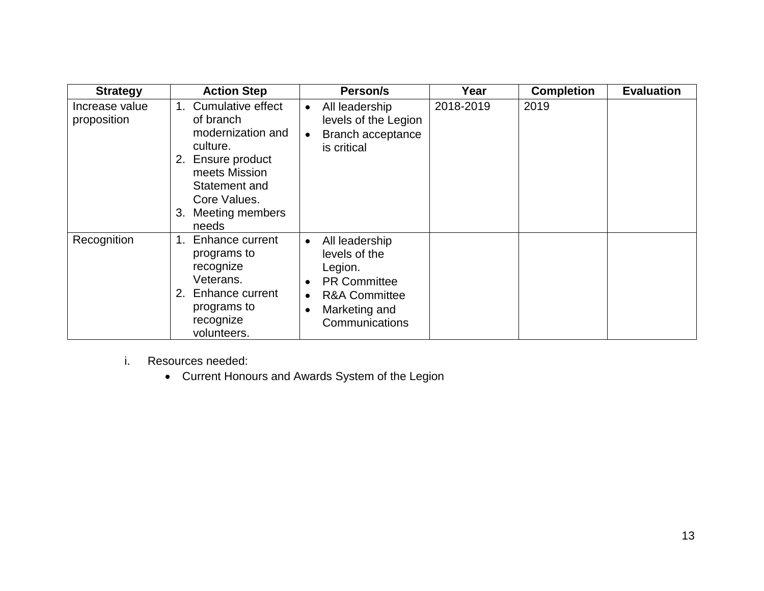| <b>Strategy</b>               | <b>Action Step</b>                                                                                                                                                          | Person/s                                                                                                                                                                             | Year      | <b>Completion</b> | <b>Evaluation</b> |
|-------------------------------|-----------------------------------------------------------------------------------------------------------------------------------------------------------------------------|--------------------------------------------------------------------------------------------------------------------------------------------------------------------------------------|-----------|-------------------|-------------------|
| Increase value<br>proposition | Cumulative effect<br>1.<br>of branch<br>modernization and<br>culture.<br>2. Ensure product<br>meets Mission<br>Statement and<br>Core Values.<br>3. Meeting members<br>needs | All leadership<br>$\bullet$<br>levels of the Legion<br>Branch acceptance<br>$\bullet$<br>is critical                                                                                 | 2018-2019 | 2019              |                   |
| Recognition                   | Enhance current<br>1.<br>programs to<br>recognize<br>Veterans.<br>2. Enhance current<br>programs to<br>recognize<br>volunteers.                                             | All leadership<br>$\bullet$<br>levels of the<br>Legion.<br><b>PR Committee</b><br>$\bullet$<br><b>R&amp;A Committee</b><br>$\bullet$<br>Marketing and<br>$\bullet$<br>Communications |           |                   |                   |

- i. Resources needed:
	- Current Honours and Awards System of the Legion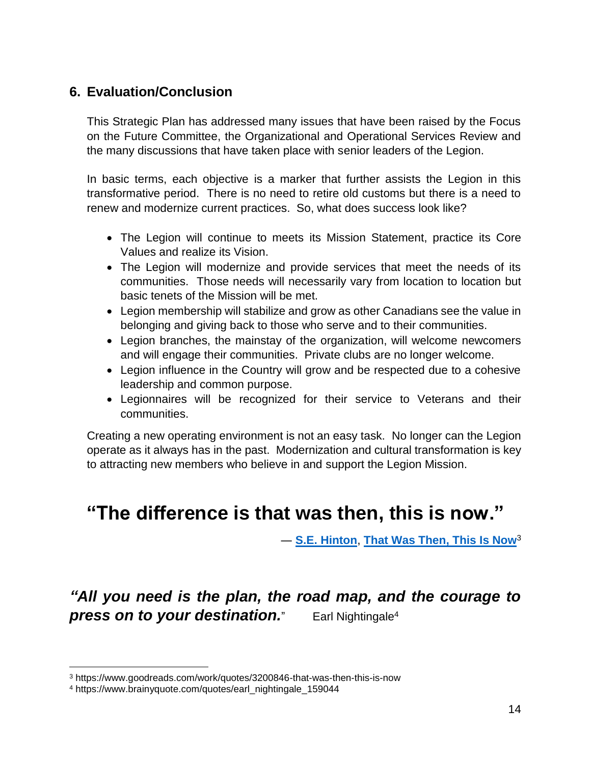# **6. Evaluation/Conclusion**

This Strategic Plan has addressed many issues that have been raised by the Focus on the Future Committee, the Organizational and Operational Services Review and the many discussions that have taken place with senior leaders of the Legion.

In basic terms, each objective is a marker that further assists the Legion in this transformative period. There is no need to retire old customs but there is a need to renew and modernize current practices. So, what does success look like?

- The Legion will continue to meets its Mission Statement, practice its Core Values and realize its Vision.
- The Legion will modernize and provide services that meet the needs of its communities. Those needs will necessarily vary from location to location but basic tenets of the Mission will be met.
- Legion membership will stabilize and grow as other Canadians see the value in belonging and giving back to those who serve and to their communities.
- Legion branches, the mainstay of the organization, will welcome newcomers and will engage their communities. Private clubs are no longer welcome.
- Legion influence in the Country will grow and be respected due to a cohesive leadership and common purpose.
- Legionnaires will be recognized for their service to Veterans and their communities.

Creating a new operating environment is not an easy task. No longer can the Legion operate as it always has in the past. Modernization and cultural transformation is key to attracting new members who believe in and support the Legion Mission.

# **"The difference is that was then, this is now."**

― **[S.E. Hinton](https://www.goodreads.com/author/show/762707.S_E_Hinton)**, **[That Was Then, This Is Now](https://www.goodreads.com/work/quotes/3200846)**<sup>3</sup>

# *"All you need is the plan, the road map, and the courage to press on to your destination.* Earl Nightingale<sup>4</sup>

 $\overline{a}$ 

<sup>3</sup> https://www.goodreads.com/work/quotes/3200846-that-was-then-this-is-now

<sup>4</sup> https://www.brainyquote.com/quotes/earl\_nightingale\_159044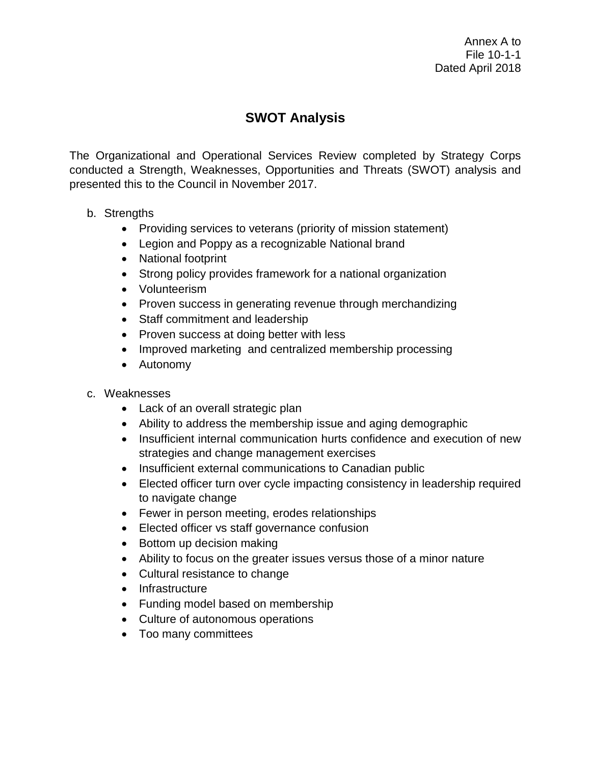# **SWOT Analysis**

The Organizational and Operational Services Review completed by Strategy Corps conducted a Strength, Weaknesses, Opportunities and Threats (SWOT) analysis and presented this to the Council in November 2017.

## b. Strengths

- Providing services to veterans (priority of mission statement)
- Legion and Poppy as a recognizable National brand
- National footprint
- Strong policy provides framework for a national organization
- Volunteerism
- Proven success in generating revenue through merchandizing
- Staff commitment and leadership
- Proven success at doing better with less
- Improved marketing and centralized membership processing
- Autonomy

## c. Weaknesses

- Lack of an overall strategic plan
- Ability to address the membership issue and aging demographic
- Insufficient internal communication hurts confidence and execution of new strategies and change management exercises
- Insufficient external communications to Canadian public
- Elected officer turn over cycle impacting consistency in leadership required to navigate change
- Fewer in person meeting, erodes relationships
- Elected officer vs staff governance confusion
- Bottom up decision making
- Ability to focus on the greater issues versus those of a minor nature
- Cultural resistance to change
- Infrastructure
- Funding model based on membership
- Culture of autonomous operations
- Too many committees